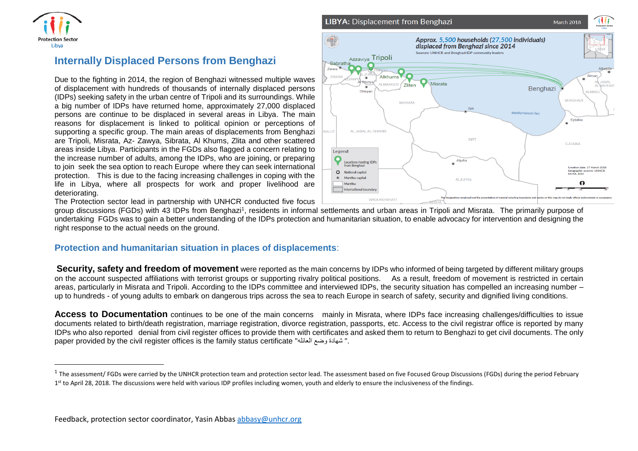

 $\overline{\phantom{a}}$ 

## **Internally Displaced Persons from Benghazi**

Due to the fighting in 2014, the region of Benghazi witnessed multiple waves of displacement with hundreds of thousands of internally displaced persons (IDPs) seeking safety in the urban centre of Tripoli and its surroundings. While a big number of IDPs have returned home, approximately 27,000 displaced persons are continue to be displaced in several areas in Libya. The main reasons for displacement is linked to political opinion or perceptions of supporting a specific group. The main areas of displacements from Benghazi are Tripoli, Misrata, Az- Zawya, Sibrata, Al Khums, Zlita and other scattered areas inside Libya. Participants in the FGDs also flagged a concern relating to the increase number of adults, among the IDPs, who are joining, or preparing to join seek the sea option to reach Europe where they can seek international protection. This is due to the facing increasing challenges in coping with the life in Libya, where all prospects for work and proper livelihood are deteriorating.

The Protection sector lead in partnership with UNHCR conducted five focus

group discussions (FGDs) with 43 IDPs from Benghazi<sup>1</sup>, residents in informal settlements and urban areas in Tripoli and Misrata. The primarily purpose of undertaking FGDs was to gain a better understanding of the IDPs protection and humanitarian situation, to enable advocacy for intervention and designing the right response to the actual needs on the ground.

## **Protection and humanitarian situation in places of displacements**:

**Security, safety and freedom of movement** were reported as the main concerns by IDPs who informed of being targeted by different military groups on the account suspected affiliations with terrorist groups or supporting rivalry political positions. As a result, freedom of movement is restricted in certain areas, particularly in Misrata and Tripoli. According to the IDPs committee and interviewed IDPs, the security situation has compelled an increasing number – up to hundreds - of young adults to embark on dangerous trips across the sea to reach Europe in search of safety, security and dignified living conditions.

Access to Documentation continues to be one of the main concerns mainly in Misrata, where IDPs face increasing challenges/difficulties to issue documents related to birth/death registration, marriage registration, divorce registration, passports, etc. Access to the civil registrar office is reported by many IDPs who also reported denial from civil register offices to provide them with certificates and asked them to return to Benghazi to get civil documents. The only paper provided by the civil register offices is the family status certificate "العائله وضع شهادة" .



<sup>&</sup>lt;sup>1</sup> The assessment/ FGDs were carried by the UNHCR protection team and protection sector lead. The assessment based on five Focused Group Discussions (FGDs) during the period February 1<sup>st</sup> to April 28, 2018. The discussions were held with various IDP profiles including women, youth and elderly to ensure the inclusiveness of the findings.